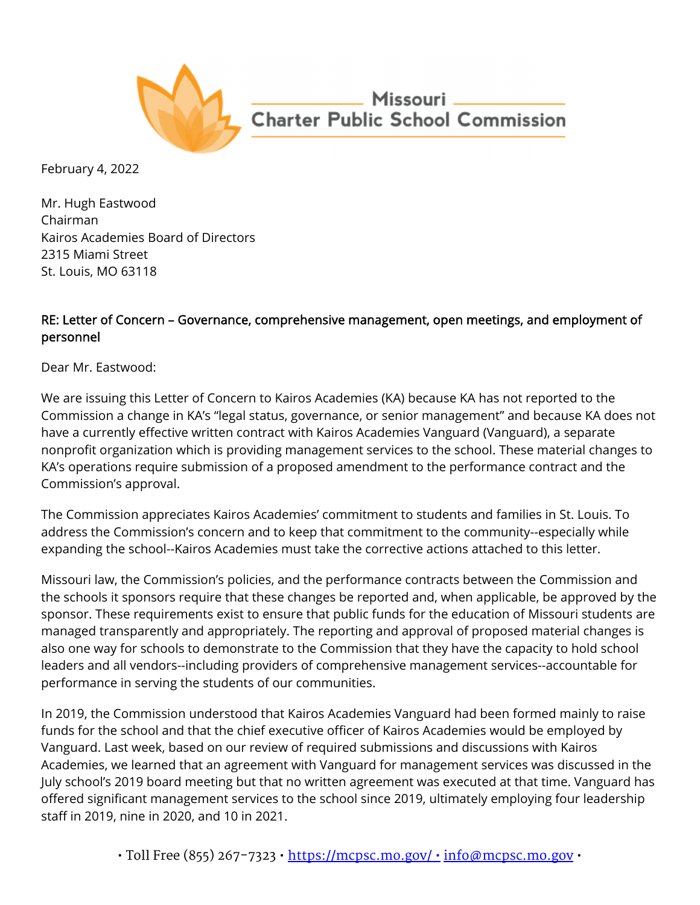

Missouri <u>\_\_\_\_\_\_\_\_</u> **Charter Public School Commission** 

February 4, 2022

Mr. Hugh Eastwood Chairman Kairos Academies Board of Directors 2315 Miami Street St. Louis, MO 63118

## RE: Letter of Concern – Governance, comprehensive management, open meetings, and employment of personnel

Dear Mr. Eastwood:

We are issuing this Letter of Concern to Kairos Academies (KA) because KA has not reported to the Commission a change in KA's "legal status, governance, or senior management" and because KA does not have a currently effective written contract with Kairos Academies Vanguard (Vanguard), a separate nonprofit organization which is providing management services to the school. These material changes to KA's operations require submission of a proposed amendment to the performance contract and the Commission's approval.

The Commission appreciates Kairos Academies' commitment to students and families in St. Louis. To address the Commission's concern and to keep that commitment to the community--especially while expanding the school--Kairos Academies must take the corrective actions attached to this letter.

Missouri law, the Commission's policies, and the performance contracts between the Commission and the schools it sponsors require that these changes be reported and, when applicable, be approved by the sponsor. These requirements exist to ensure that public funds for the education of Missouri students are managed transparently and appropriately. The reporting and approval of proposed material changes is also one way for schools to demonstrate to the Commission that they have the capacity to hold school leaders and all vendors--including providers of comprehensive management services--accountable for performance in serving the students of our communities.

In 2019, the Commission understood that Kairos Academies Vanguard had been formed mainly to raise funds for the school and that the chief executive officer of Kairos Academies would be employed by Vanguard. Last week, based on our review of required submissions and discussions with Kairos Academies, we learned that an agreement with Vanguard for management services was discussed in the July school's 2019 board meeting but that no written agreement was executed at that time. Vanguard has offered significant management services to the school since 2019, ultimately employing four leadership staff in 2019, nine in 2020, and 10 in 2021.

 $\cdot$  Toll Free (855) 267-7323  $\cdot$  https://mcpsc.mo.gov/ $\cdot$  info@mcpsc.mo.gov  $\cdot$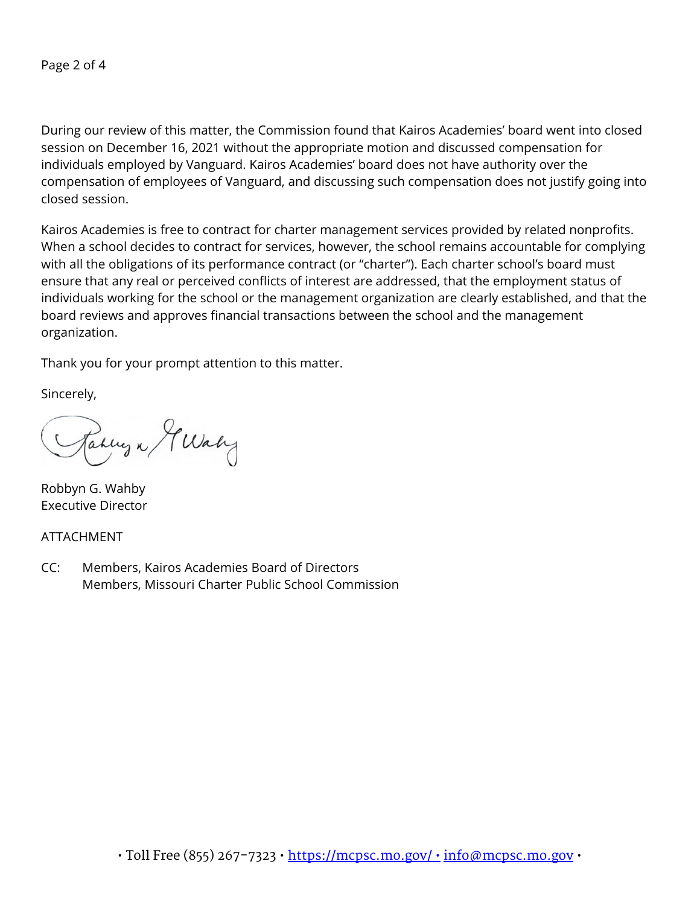During our review of this matter, the Commission found that Kairos Academies' board went into closed session on December 16, 2021 without the appropriate motion and discussed compensation for individuals employed by Vanguard. Kairos Academies' board does not have authority over the compensation of employees of Vanguard, and discussing such compensation does not justify going into closed session.

Kairos Academies is free to contract for charter management services provided by related nonprofits. When a school decides to contract for services, however, the school remains accountable for complying with all the obligations of its performance contract (or "charter"). Each charter school's board must ensure that any real or perceived conflicts of interest are addressed, that the employment status of individuals working for the school or the management organization are clearly established, and that the board reviews and approves financial transactions between the school and the management organization.

Thank you for your prompt attention to this matter.

Sincerely,

Jakung a G Waly

Robbyn G. Wahby Executive Director

ATTACHMENT

CC: Members, Kairos Academies Board of Directors Members, Missouri Charter Public School Commission

 $\cdot$  Toll Free (855) 267-7323  $\cdot$  https://mcpsc.mo.gov/ $\cdot$  info@mcpsc.mo.gov  $\cdot$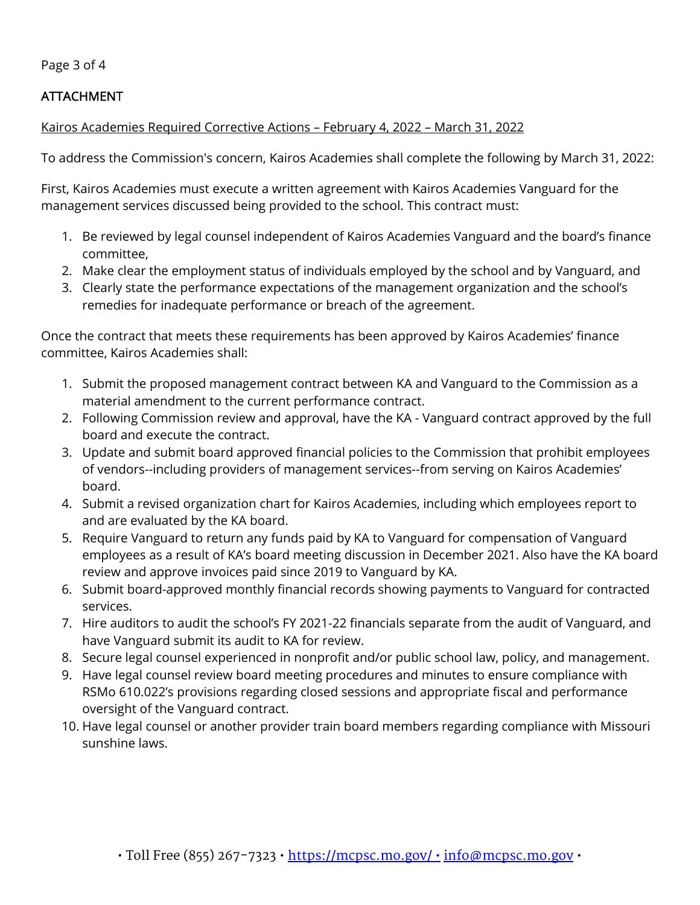Page 3 of 4

## ATTACHMENT

## Kairos Academies Required Corrective Actions – February 4, 2022 – March 31, 2022

To address the Commission's concern, Kairos Academies shall complete the following by March 31, 2022:

First, Kairos Academies must execute a written agreement with Kairos Academies Vanguard for the management services discussed being provided to the school. This contract must:

- 1. Be reviewed by legal counsel independent of Kairos Academies Vanguard and the board's finance committee,
- 2. Make clear the employment status of individuals employed by the school and by Vanguard, and
- 3. Clearly state the performance expectations of the management organization and the school's remedies for inadequate performance or breach of the agreement.

Once the contract that meets these requirements has been approved by Kairos Academies' finance committee, Kairos Academies shall:

- 1. Submit the proposed management contract between KA and Vanguard to the Commission as a material amendment to the current performance contract.
- 2. Following Commission review and approval, have the KA Vanguard contract approved by the full board and execute the contract.
- 3. Update and submit board approved financial policies to the Commission that prohibit employees of vendors--including providers of management services--from serving on Kairos Academies' board.
- 4. Submit a revised organization chart for Kairos Academies, including which employees report to and are evaluated by the KA board.
- 5. Require Vanguard to return any funds paid by KA to Vanguard for compensation of Vanguard employees as a result of KA's board meeting discussion in December 2021. Also have the KA board review and approve invoices paid since 2019 to Vanguard by KA.
- 6. Submit board-approved monthly financial records showing payments to Vanguard for contracted services.
- 7. Hire auditors to audit the school's FY 2021-22 financials separate from the audit of Vanguard, and have Vanguard submit its audit to KA for review.
- 8. Secure legal counsel experienced in nonprofit and/or public school law, policy, and management.
- 9. Have legal counsel review board meeting procedures and minutes to ensure compliance with RSMo 610.022's provisions regarding closed sessions and appropriate fiscal and performance oversight of the Vanguard contract.
- 10. Have legal counsel or another provider train board members regarding compliance with Missouri sunshine laws.